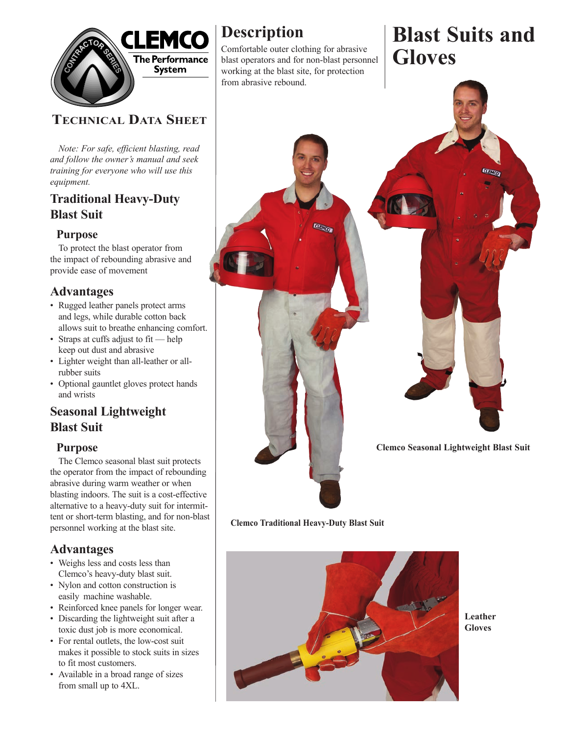

# **TECHNICAL DATA SHEET**

 *Note: For safe, efficient blasting, read and follow the owner's manual and seek training for everyone who will use this equipment.*

### **Traditional Heavy-Duty Blast Suit**

### **Purpose**

To protect the blast operator from the impact of rebounding abrasive and provide ease of movement

### **Advantages**

- Rugged leather panels protect arms and legs, while durable cotton back allows suit to breathe enhancing comfort.
- Straps at cuffs adjust to fit help keep out dust and abrasive
- Lighter weight than all-leather or all rubber suits
- Optional gauntlet gloves protect hands and wrists

## **Seasonal Lightweight Blast Suit**

#### **Purpose**

The Clemco seasonal blast suit protects the operator from the impact of rebounding abrasive during warm weather or when blasting indoors. The suit is a cost-effective alternative to a heavy-duty suit for intermittent or short-term blasting, and for non-blast personnel working at the blast site.

### **Advantages**

- Weighs less and costs less than Clemco's heavy-duty blast suit.
- Nylon and cotton construction is easily machine washable.
- Reinforced knee panels for longer wear.
- Discarding the lightweight suit after a toxic dust job is more economical.
- For rental outlets, the low-cost suit makes it possible to stock suits in sizes to fit most customers.
- Available in a broad range of sizes from small up to 4XL.

# **Description**

Comfortable outer clothing for abrasive blast operators and for non-blast personnel working at the blast site, for protection from abrasive rebound.

# **Blast Suits and Gloves**



**Clemco Traditional Heavy-Duty Blast Suit**



**Leather Gloves**